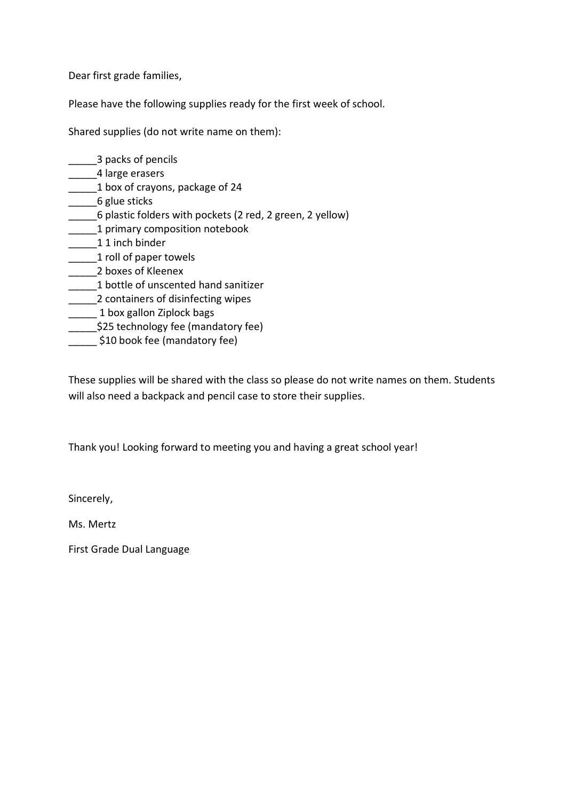Dear first grade families,

\_\_\_\_\_3 packs of pencils

Please have the following supplies ready for the first week of school.

Shared supplies (do not write name on them):

\_\_\_\_\_4 large erasers \_\_\_\_\_1 box of crayons, package of 24 \_\_\_\_\_6 glue sticks \_\_\_\_\_6 plastic folders with pockets (2 red, 2 green, 2 yellow) \_\_\_\_\_1 primary composition notebook 1 1 inch binder \_\_\_\_\_1 roll of paper towels \_\_\_\_\_2 boxes of Kleenex \_\_\_\_\_1 bottle of unscented hand sanitizer **\_\_\_\_\_2** containers of disinfecting wipes \_\_\_\_\_ 1 box gallon Ziplock bags \$25 technology fee (mandatory fee)

\_\_\_\_\_ \$10 book fee (mandatory fee)

These supplies will be shared with the class so please do not write names on them. Students will also need a backpack and pencil case to store their supplies.

Thank you! Looking forward to meeting you and having a great school year!

Sincerely,

Ms. Mertz

First Grade Dual Language